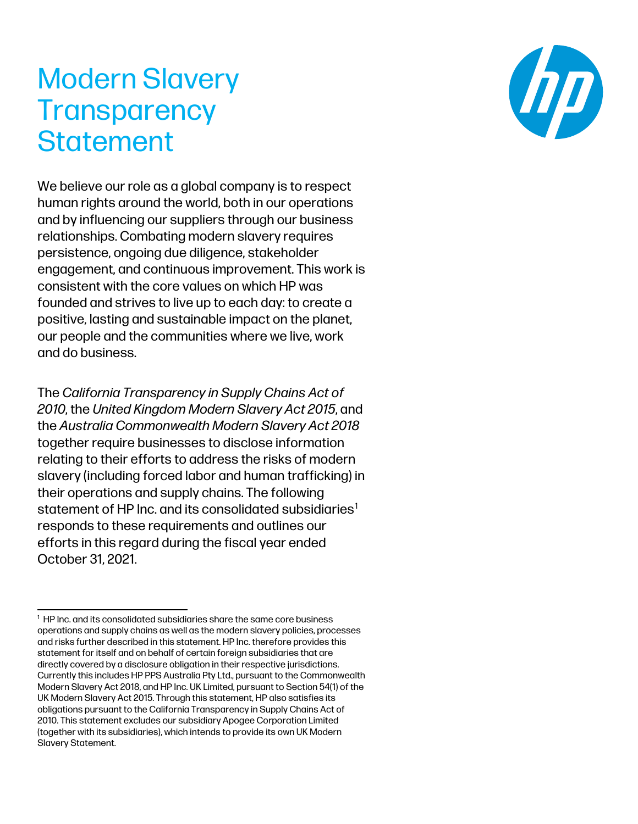# Modern Slavery **Transparency Statement**

We believe our role as a global company is to respect human rights around the world, both in our operations and by influencing our suppliers through our business relationships. Combating modern slavery requires persistence, ongoing due diligence, stakeholder engagement, and continuous improvement. This work is consistent with the core values on which HP was founded and strives to live up to each day: to create a positive, lasting and sustainable impact on the planet, our people and the communities where we live, work and do business.

The *California Transparency in Supply Chains Act of 2010*, the *United Kingdom Modern Slavery Act 2015*, and the *Australia Commonwealth Modern Slavery Act 2018* together require businesses to disclose information relating to their efforts to address the risks of modern slavery (including forced labor and human trafficking) in their operations and supply chains. The following statement of HP Inc. and its consolidated subsidiaries<sup>[1](#page-0-0)</sup> responds to these requirements and outlines our efforts in this regard during the fiscal year ended October 31, 2021.



<span id="page-0-0"></span><sup>&</sup>lt;sup>1</sup> HP Inc. and its consolidated subsidiaries share the same core business operations and supply chains as well as the modern slavery policies, processes and risks further described in this statement. HP Inc. therefore provides this statement for itself and on behalf of certain foreign subsidiaries that are directly covered by a disclosure obligation in their respective jurisdictions. Currently this includes HP PPS Australia Pty Ltd., pursuant to the Commonwealth Modern Slavery Act 2018, and HP Inc. UK Limited, pursuant to Section 54(1) of the UK Modern Slavery Act 2015. Through this statement, HP also satisfies its obligations pursuant to the California Transparency in Supply Chains Act of 2010. This statement excludes our subsidiary Apogee Corporation Limited (together with its subsidiaries), which intends to provide its own UK Modern Slavery Statement.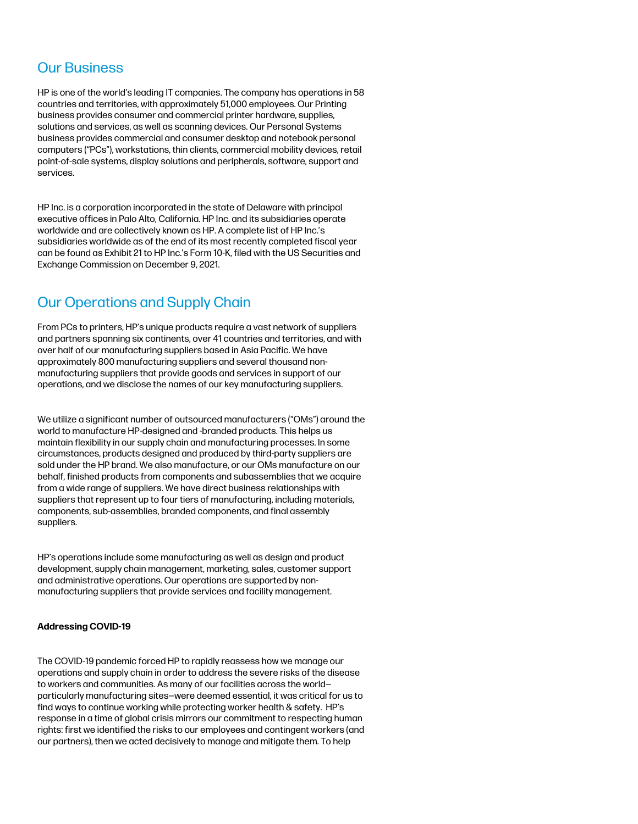## Our Business

HP is one of the world's leading IT companies. The company has operations in 58 countries and territories, with approximately 51,000 employees. Our Printing business provides consumer and commercial printer hardware, supplies, solutions and services, as well as scanning devices. Our Personal Systems business provides commercial and consumer desktop and notebook personal computers ("PCs"), workstations, thin clients, commercial mobility devices, retail point-of-sale systems, display solutions and peripherals, software, support and services.

HP Inc. is a corporation incorporated in the state of Delaware with principal executive offices in Palo Alto, California. HP Inc. and its subsidiaries operate worldwide and are collectively known as HP. A complete list of HP Inc.'s subsidiaries worldwide as of the end of its most recently completed fiscal year can be found as Exhibit 21 to HP Inc.'s Form 10-K, filed with the US Securities and Exchange Commission on December 9, 2021.

# Our Operations and Supply Chain

From PCs to printers, HP's unique products require a vast network of suppliers and partners spanning six continents, over 41 countries and territories, and with over half of our manufacturing suppliers based in Asia Pacific. We have approximately 800 manufacturing suppliers and several thousand nonmanufacturing suppliers that provide goods and services in support of our operations, and we disclose the names of our key manufacturing suppliers.

We utilize a significant number of outsourced manufacturers ("OMs") around the world to manufacture HP-designed and -branded products. This helps us maintain flexibility in our supply chain and manufacturing processes. In some circumstances, products designed and produced by third-party suppliers are sold under the HP brand. We also manufacture, or our OMs manufacture on our behalf, finished products from components and subassemblies that we acquire from a wide range of suppliers. We have direct business relationships with suppliers that represent up to four tiers of manufacturing, including materials, components, sub-assemblies, branded components, and final assembly suppliers.

HP's operations include some manufacturing as well as design and product development, supply chain management, marketing, sales, customer support and administrative operations. Our operations are supported by nonmanufacturing suppliers that provide services and facility management.

### **Addressing COVID-19**

The COVID-19 pandemic forced HP to rapidly reassess how we manage our operations and supply chain in order to address the severe risks of the disease to workers and communities. As many of our facilities across the world particularly manufacturing sites—were deemed essential, it was critical for us to find ways to continue working while protecting worker health & safety. HP's response in a time of global crisis mirrors our commitment to respecting human rights: first we identified the risks to our employees and contingent workers (and our partners), then we acted decisively to manage and mitigate them. To help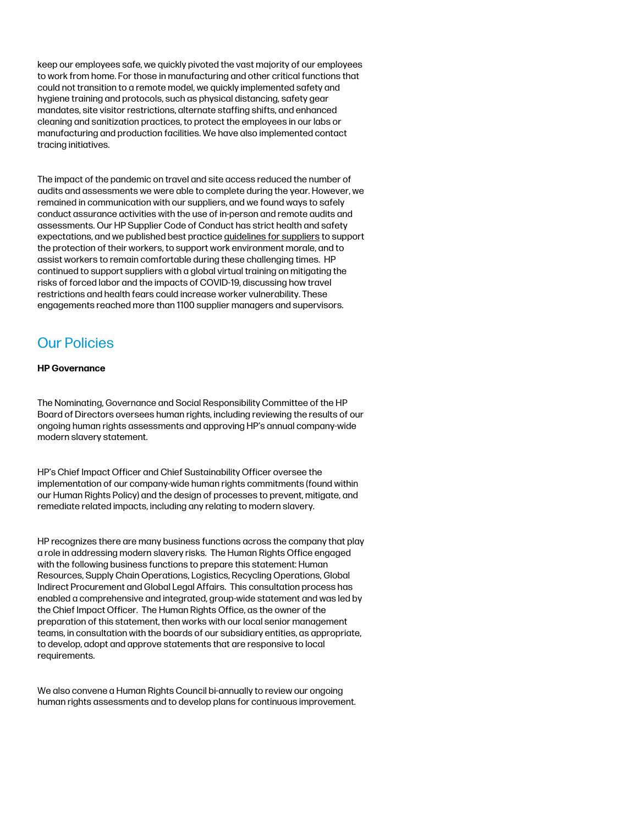keep our employees safe, we quickly pivoted the vast majority of our employees to work from home. For those in manufacturing and other critical functions that could not transition to a remote model, we quickly implemented safety and hygiene training and protocols, such as physical distancing, safety gear mandates, site visitor restrictions, alternate staffing shifts, and enhanced cleaning and sanitization practices, to protect the employees in our labs or manufacturing and production facilities. We have also implemented contact tracing initiatives.

The impact of the pandemic on travel and site access reduced the number of audits and assessments we were able to complete during the year. However, we remained in communication with our suppliers, and we found ways to safely conduct assurance activities with the use of in-person and remote audits and assessments. Our HP Supplier Code of Conduct has strict health and safety expectations, and we published best practic[e guidelines for suppliers](https://press.hp.com/content/dam/sites/garage-press/press/press-kits/2020/hp-response-to-covid-19/Top%20Guidelines%20for%20Suppliers%27%20Protection%20of%20Workers%20during%20Covid-19.pdf) to support the protection of their workers, to support work environment morale, and to assist workers to remain comfortable during these challenging times. HP continued to support suppliers with a global virtual training on mitigating the risks of forced labor and the impacts of COVID-19, discussing how travel restrictions and health fears could increase worker vulnerability. These engagements reached more than 1100 supplier managers and supervisors.

# Our Policies

### **HP Governance**

The Nominating, Governance and Social Responsibility Committee of the HP Board of Directors oversees human rights, including reviewing the results of our ongoing human rights assessments and approving HP's annual company-wide modern slavery statement.

HP's Chief Impact Officer and Chief Sustainability Officer oversee the implementation of our company-wide human rights commitments (found within our Human Rights Policy) and the design of processes to prevent, mitigate, and remediate related impacts, including any relating to modern slavery.

HP recognizes there are many business functions across the company that play a role in addressing modern slavery risks. The Human Rights Office engaged with the following business functions to prepare this statement: Human Resources, Supply Chain Operations, Logistics, Recycling Operations, Global Indirect Procurement and Global Legal Affairs. This consultation process has enabled a comprehensive and integrated, group-wide statement and was led by the Chief Impact Officer. The Human Rights Office, as the owner of the preparation of this statement, then works with our local senior management teams, in consultation with the boards of our subsidiary entities, as appropriate, to develop, adopt and approve statements that are responsive to local requirements.

We also convene a Human Rights Council bi-annually to review our ongoing human rights assessments and to develop plans for continuous improvement.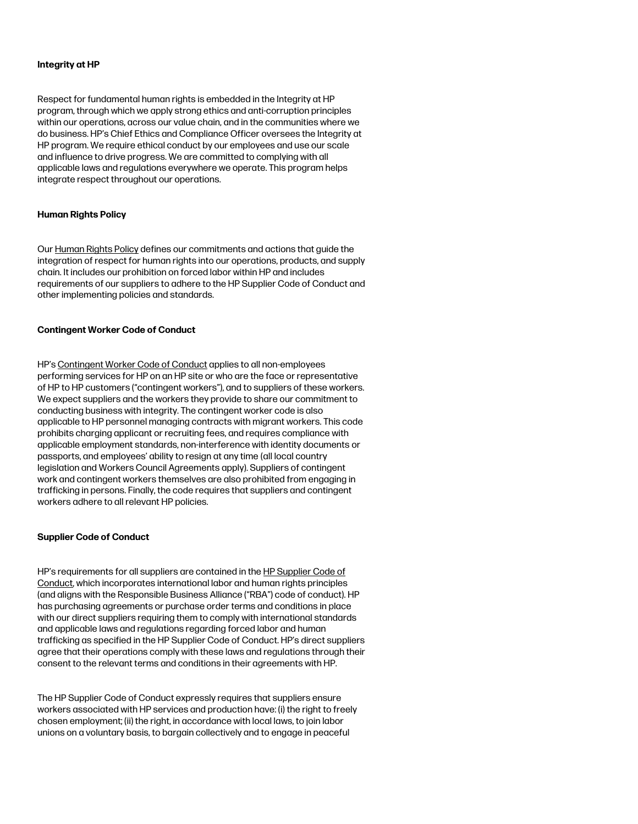#### **Integrity at HP**

Respect for fundamental human rights is embedded in the Integrity at HP program, through which we apply strong ethics and anti-corruption principles within our operations, across our value chain, and in the communities where we do business. HP's Chief Ethics and Compliance Officer oversees the Integrity at HP program. We require ethical conduct by our employees and use our scale and influence to drive progress. We are committed to complying with all applicable laws and regulations everywhere we operate. This program helps integrate respect throughout our operations.

#### **Human Rights Policy**

Ou[r Human Rights Policy](http://www8.hp.com/h20195/v2/GetPDF.aspx/c05075378.pdf) defines our commitments and actions that guide the integration of respect for human rights into our operations, products, and supply chain. It includes our prohibition on forced labor within HP and includes requirements of our suppliers to adhere to the HP Supplier Code of Conduct and other implementing policies and standards.

#### **Contingent Worker Code of Conduct**

HP'[s Contingent Worker Code of Conduct](https://h20168.www2.hp.com/supplierextranet/cw_codeofconduct.do) applies to all non-employees performing services for HP on an HP site or who are the face or representative of HP to HP customers ("contingent workers"), and to suppliers of these workers. We expect suppliers and the workers they provide to share our commitment to conducting business with integrity. The contingent worker code is also applicable to HP personnel managing contracts with migrant workers. This code prohibits charging applicant or recruiting fees, and requires compliance with applicable employment standards, non-interference with identity documents or passports, and employees' ability to resign at any time (all local country legislation and Workers Council Agreements apply). Suppliers of contingent work and contingent workers themselves are also prohibited from engaging in trafficking in persons. Finally, the code requires that suppliers and contingent workers adhere to all relevant HP policies.

#### **Supplier Code of Conduct**

HP's requirements for all suppliers are contained in the HP [Supplier Code of](https://h20195.www2.hp.com/V2/getpdf.aspx/c04797684)  [Conduct,](https://h20195.www2.hp.com/V2/getpdf.aspx/c04797684) which incorporates international labor and human rights principles (and aligns with the Responsible Business Alliance ("RBA") code of conduct). HP has purchasing agreements or purchase order terms and conditions in place with our direct suppliers requiring them to comply with international standards and applicable laws and regulations regarding forced labor and human trafficking as specified in the HP Supplier Code of Conduct. HP's direct suppliers agree that their operations comply with these laws and regulations through their consent to the relevant terms and conditions in their agreements with HP.

The HP Supplier Code of Conduct expressly requires that suppliers ensure workers associated with HP services and production have: (i) the right to freely chosen employment; (ii) the right, in accordance with local laws, to join labor unions on a voluntary basis, to bargain collectively and to engage in peaceful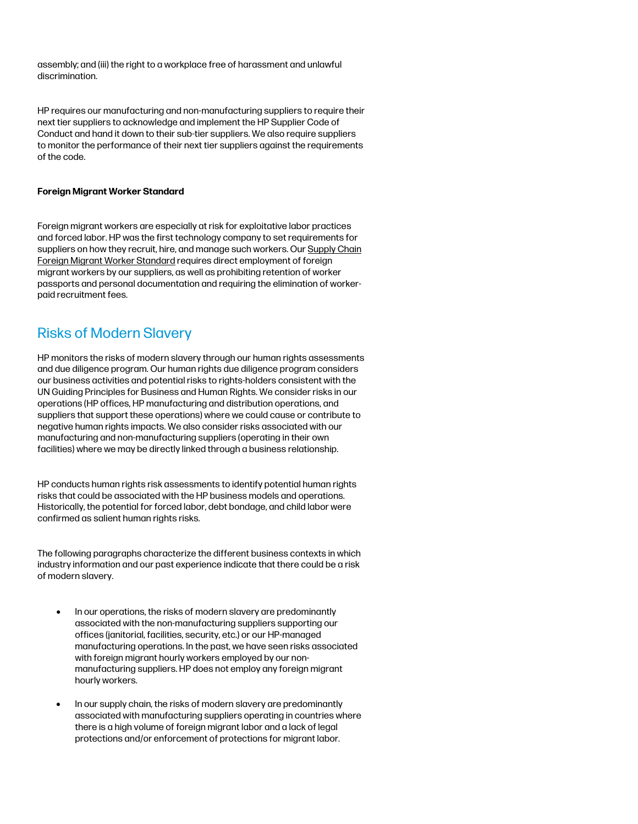assembly; and (iii) the right to a workplace free of harassment and unlawful discrimination.

HP requires our manufacturing and non-manufacturing suppliers to require their next tier suppliers to acknowledge and implement the HP Supplier Code of Conduct and hand it down to their sub-tier suppliers. We also require suppliers to monitor the performance of their next tier suppliers against the requirements of the code.

### **Foreign Migrant Worker Standard**

Foreign migrant workers are especially at risk for exploitative labor practices and forced labor. HP was the first technology company to set requirements for suppliers on how they recruit, hire, and manage such workers. Our Supply Chain Foreign Migrant [Worker Standard](http://h20195.www2.hp.com/v2/getpdf.aspx/c04484646.pdf) requires direct employment of foreign migrant workers by our suppliers, as well as prohibiting retention of worker passports and personal documentation and requiring the elimination of workerpaid recruitment fees.

### Risks of Modern Slavery

HP monitors the risks of modern slavery through our human rights assessments and due diligence program. Our human rights due diligence program considers our business activities and potential risks to rights-holders consistent with the UN Guiding Principles for Business and Human Rights. We consider risks in our operations (HP offices, HP manufacturing and distribution operations, and suppliers that support these operations) where we could cause or contribute to negative human rights impacts. We also consider risks associated with our manufacturing and non-manufacturing suppliers (operating in their own facilities) where we may be directly linked through a business relationship.

HP conducts human rights risk assessments to identify potential human rights risks that could be associated with the HP business models and operations. Historically, the potential for forced labor, debt bondage, and child labor were confirmed as salient human rights risks.

The following paragraphs characterize the different business contexts in which industry information and our past experience indicate that there could be a risk of modern slavery.

- In our operations, the risks of modern slavery are predominantly associated with the non-manufacturing suppliers supporting our offices (janitorial, facilities, security, etc.) or our HP-managed manufacturing operations. In the past, we have seen risks associated with foreign migrant hourly workers employed by our nonmanufacturing suppliers. HP does not employ any foreign migrant hourly workers.
- In our supply chain, the risks of modern slavery are predominantly associated with manufacturing suppliers operating in countries where there is a high volume of foreign migrant labor and a lack of legal protections and/or enforcement of protections for migrant labor.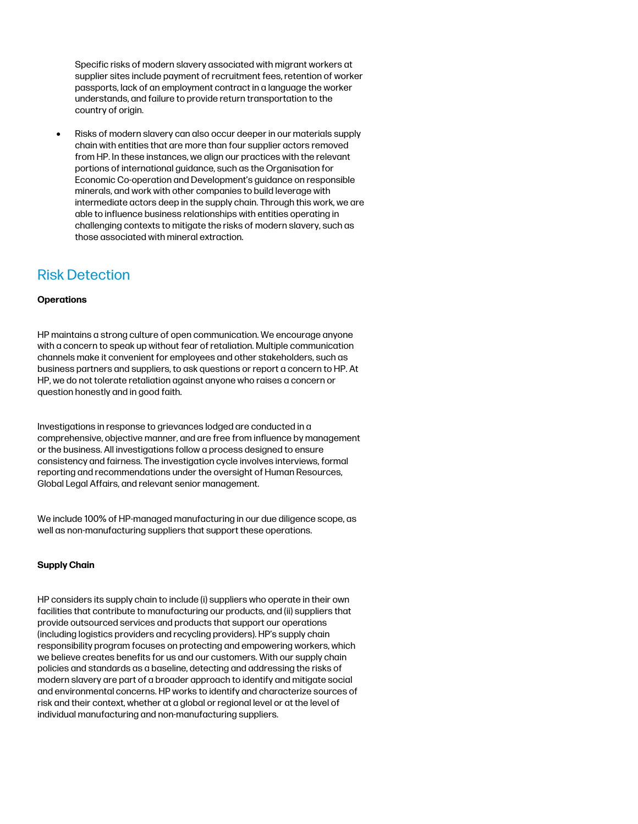Specific risks of modern slavery associated with migrant workers at supplier sites include payment of recruitment fees, retention of worker passports, lack of an employment contract in a language the worker understands, and failure to provide return transportation to the country of origin.

• Risks of modern slavery can also occur deeper in our materials supply chain with entities that are more than four supplier actors removed from HP. In these instances, we align our practices with the relevant portions of international guidance, such as the Organisation for Economic Co-operation and Development's guidance on responsible minerals, and work with other companies to build leverage with intermediate actors deep in the supply chain. Through this work, we are able to influence business relationships with entities operating in challenging contexts to mitigate the risks of modern slavery, such as those associated with mineral extraction.

## Risk Detection

### **Operations**

HP maintains a strong culture of open communication. We encourage anyone with a concern to speak up without fear of retaliation. Multiple communication channels make it convenient for employees and other stakeholders, such as business partners and suppliers, to ask questions or report a concern to HP. At HP, we do not tolerate retaliation against anyone who raises a concern or question honestly and in good faith.

Investigations in response to grievances lodged are conducted in a comprehensive, objective manner, and are free from influence by management or the business. All investigations follow a process designed to ensure consistency and fairness. The investigation cycle involves interviews, formal reporting and recommendations under the oversight of Human Resources, Global Legal Affairs, and relevant senior management.

We include 100% of HP-managed manufacturing in our due diligence scope, as well as non-manufacturing suppliers that support these operations.

### **Supply Chain**

HP considers its supply chain to include (i) suppliers who operate in their own facilities that contribute to manufacturing our products, and (ii) suppliers that provide outsourced services and products that support our operations (including logistics providers and recycling providers). HP's supply chain responsibility program focuses on protecting and empowering workers, which we believe creates benefits for us and our customers. With our supply chain policies and standards as a baseline, detecting and addressing the risks of modern slavery are part of a broader approach to identify and mitigate social and environmental concerns. HP works to identify and characterize sources of risk and their context, whether at a global or regional level or at the level of individual manufacturing and non-manufacturing suppliers.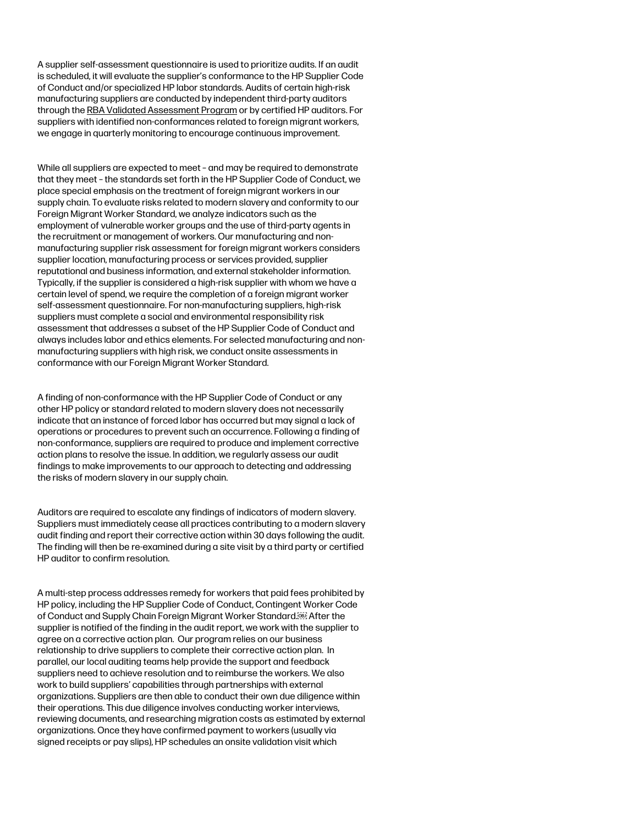A supplier self-assessment questionnaire is used to prioritize audits. If an audit is scheduled, it will evaluate the supplier's conformance to the HP Supplier Code of Conduct and/or specialized HP labor standards. Audits of certain high-risk manufacturing suppliers are conducted by independent third-party auditors through th[e RBA Validated Assessment Program](http://www.responsiblebusiness.org/standards/vap/) or by certified HP auditors. For suppliers with identified non-conformances related to foreign migrant workers, we engage in quarterly monitoring to encourage continuous improvement.

While all suppliers are expected to meet – and may be required to demonstrate that they meet – the standards set forth in the HP Supplier Code of Conduct, we place special emphasis on the treatment of foreign migrant workers in our supply chain. To evaluate risks related to modern slavery and conformity to our Foreign Migrant Worker Standard, we analyze indicators such as the employment of vulnerable worker groups and the use of third-party agents in the recruitment or management of workers. Our manufacturing and nonmanufacturing supplier risk assessment for foreign migrant workers considers supplier location, manufacturing process or services provided, supplier reputational and business information, and external stakeholder information. Typically, if the supplier is considered a high-risk supplier with whom we have a certain level of spend, we require the completion of a foreign migrant worker self-assessment questionnaire. For non-manufacturing suppliers, high-risk suppliers must complete a social and environmental responsibility risk assessment that addresses a subset of the HP Supplier Code of Conduct and always includes labor and ethics elements. For selected manufacturing and nonmanufacturing suppliers with high risk, we conduct onsite assessments in conformance with our Foreign Migrant Worker Standard.

A finding of non-conformance with the HP Supplier Code of Conduct or any other HP policy or standard related to modern slavery does not necessarily indicate that an instance of forced labor has occurred but may signal a lack of operations or procedures to prevent such an occurrence. Following a finding of non-conformance, suppliers are required to produce and implement corrective action plans to resolve the issue. In addition, we regularly assess our audit findings to make improvements to our approach to detecting and addressing the risks of modern slavery in our supply chain.

Auditors are required to escalate any findings of indicators of modern slavery. Suppliers must immediately cease all practices contributing to a modern slavery audit finding and report their corrective action within 30 days following the audit. The finding will then be re-examined during a site visit by a third party or certified HP auditor to confirm resolution.

A multi-step process addresses remedy for workers that paid fees prohibited by HP policy, including the HP Supplier Code of Conduct[, Contingent Worker Code](https://h20168.www2.hp.com/supplierextranet/cw_codeofconduct.do)  [of Conduct](https://h20168.www2.hp.com/supplierextranet/cw_codeofconduct.do) and [Supply Chain Foreign Migrant Worker Standard.](http://h20195.www2.hp.com/v2/getpdf.aspx/c04484646.pdf) After the supplier is notified of the finding in the audit report, we work with the supplier to agree on a corrective action plan. Our program relies on our business relationship to drive suppliers to complete their corrective action plan. In parallel, our local auditing teams help provide the support and feedback suppliers need to achieve resolution and to reimburse the workers. We also work to build suppliers' capabilities through partnerships with external organizations. Suppliers are then able to conduct their own due diligence within their operations. This due diligence involves conducting worker interviews, reviewing documents, and researching migration costs as estimated by external organizations. Once they have confirmed payment to workers (usually via signed receipts or pay slips), HP schedules an onsite validation visit which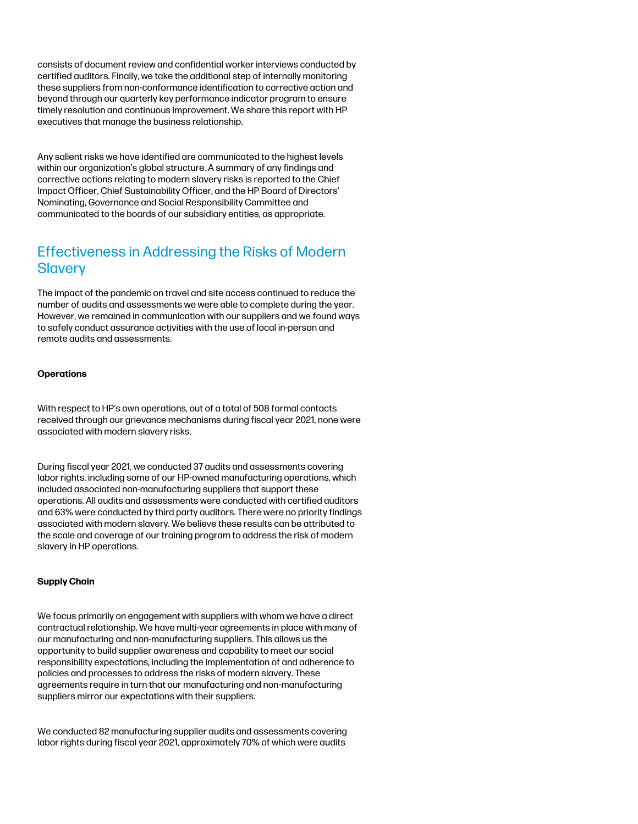consists of document review and confidential worker interviews conducted by certified auditors. Finally, we take the additional step of internally monitoring these suppliers from non-conformance identification to corrective action and beyond through our quarterly key performance indicator program to ensure timely resolution and continuous improvement. We share this report with HP executives that manage the business relationship.

Any salient risks we have identified are communicated to the highest levels within our organization's global structure. A summary of any findings and corrective actions relating to modern slavery risks is reported to the Chief Impact Officer, Chief Sustainability Officer, and the HP Board of Directors' Nominating, Governance and Social Responsibility Committee and communicated to the boards of our subsidiary entities, as appropriate.

### Effectiveness in Addressing the Risks of Modern **Slavery**

The impact of the pandemic on travel and site access continued to reduce the number of audits and assessments we were able to complete during the year. However, we remained in communication with our suppliers and we found ways to safely conduct assurance activities with the use of local in-person and remote audits and assessments.

### **Operations**

With respect to HP's own operations, out of a total of 508 formal contacts received through our grievance mechanisms during fiscal year 2021, none were associated with modern slavery risks.

During fiscal year 2021, we conducted 37 audits and assessments covering labor rights, including some of our HP-owned manufacturing operations, which included associated non-manufacturing suppliers that support these operations. All audits and assessments were conducted with certified auditors and 63% were conducted by third party auditors. There were no priority findings associated with modern slavery. We believe these results can be attributed to the scale and coverage of our training program to address the risk of modern slavery in HP operations.

#### **Supply Chain**

We focus primarily on engagement with suppliers with whom we have a direct contractual relationship. We have multi-year agreements in place with many of our manufacturing and non-manufacturing suppliers. This allows us the opportunity to build supplier awareness and capability to meet our social responsibility expectations, including the implementation of and adherence to policies and processes to address the risks of modern slavery. These agreements require in turn that our manufacturing and non-manufacturing suppliers mirror our expectations with their suppliers.

We conducted 82 manufacturing supplier audits and assessments covering labor rights during fiscal year 2021, approximately 70% of which were audits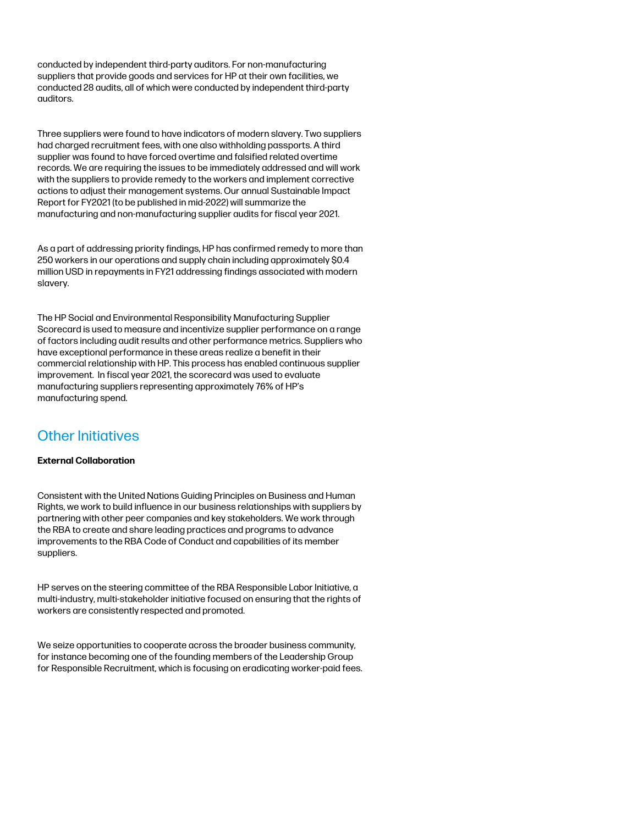conducted by independent third-party auditors. For non-manufacturing suppliers that provide goods and services for HP at their own facilities, we conducted 28 audits, all of which were conducted by independent third-party auditors.

Three suppliers were found to have indicators of modern slavery. Two suppliers had charged recruitment fees, with one also withholding passports. A third supplier was found to have forced overtime and falsified related overtime records. We are requiring the issues to be immediately addressed and will work with the suppliers to provide remedy to the workers and implement corrective actions to adjust their management systems. Our annual Sustainable Impact Report for FY2021 (to be published in mid-2022) will summarize the manufacturing and non-manufacturing supplier audits for fiscal year 2021.

As a part of addressing priority findings, HP has confirmed remedy to more than 250 workers in our operations and supply chain including approximately \$0.4 million USD in repayments in FY21 addressing findings associated with modern slavery.

The HP Social and Environmental Responsibility Manufacturing Supplier Scorecard is used to measure and incentivize supplier performance on a range of factors including audit results and other performance metrics. Suppliers who have exceptional performance in these areas realize a benefit in their commercial relationship with HP. This process has enabled continuous supplier improvement. In fiscal year 2021, the scorecard was used to evaluate manufacturing suppliers representing approximately 76% of HP's manufacturing spend.

# Other Initiatives

### **External Collaboration**

Consistent with the United Nations Guiding Principles on Business and Human Rights, we work to build influence in our business relationships with suppliers by partnering with other peer companies and key stakeholders. We work through the RBA to create and share leading practices and programs to advance improvements to the RBA Code of Conduct and capabilities of its member suppliers.

HP serves on the steering committee of the RBA Responsible Labor Initiative, a multi-industry, multi-stakeholder initiative focused on ensuring that the rights of workers are consistently respected and promoted.

We seize opportunities to cooperate across the broader business community, for instance becoming one of the founding members of the Leadership Group for Responsible Recruitment, which is focusing on eradicating worker-paid fees.